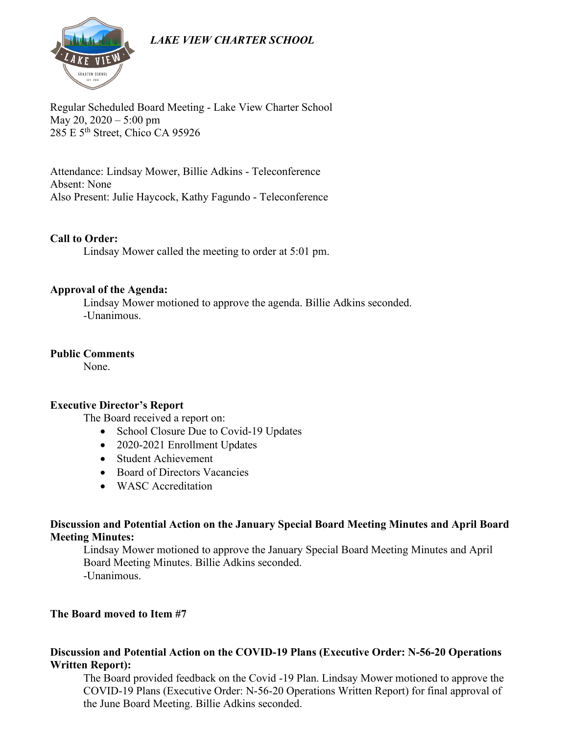*LAKE VIEW CHARTER SCHOOL*



Regular Scheduled Board Meeting - Lake View Charter School May 20, 2020 – 5:00 pm 285 E 5th Street, Chico CA 95926

Attendance: Lindsay Mower, Billie Adkins - Teleconference Absent: None Also Present: Julie Haycock, Kathy Fagundo - Teleconference

#### **Call to Order:**

Lindsay Mower called the meeting to order at 5:01 pm.

#### **Approval of the Agenda:**

Lindsay Mower motioned to approve the agenda. Billie Adkins seconded. -Unanimous.

#### **Public Comments**

None.

#### **Executive Director's Report**

The Board received a report on:

- School Closure Due to Covid-19 Updates
- 2020-2021 Enrollment Updates
- Student Achievement
- Board of Directors Vacancies
- WASC Accreditation

#### **Discussion and Potential Action on the January Special Board Meeting Minutes and April Board Meeting Minutes:**

Lindsay Mower motioned to approve the January Special Board Meeting Minutes and April Board Meeting Minutes. Billie Adkins seconded. -Unanimous.

#### **The Board moved to Item #7**

#### **Discussion and Potential Action on the COVID-19 Plans (Executive Order: N-56-20 Operations Written Report):**

The Board provided feedback on the Covid -19 Plan. Lindsay Mower motioned to approve the COVID-19 Plans (Executive Order: N-56-20 Operations Written Report) for final approval of the June Board Meeting. Billie Adkins seconded.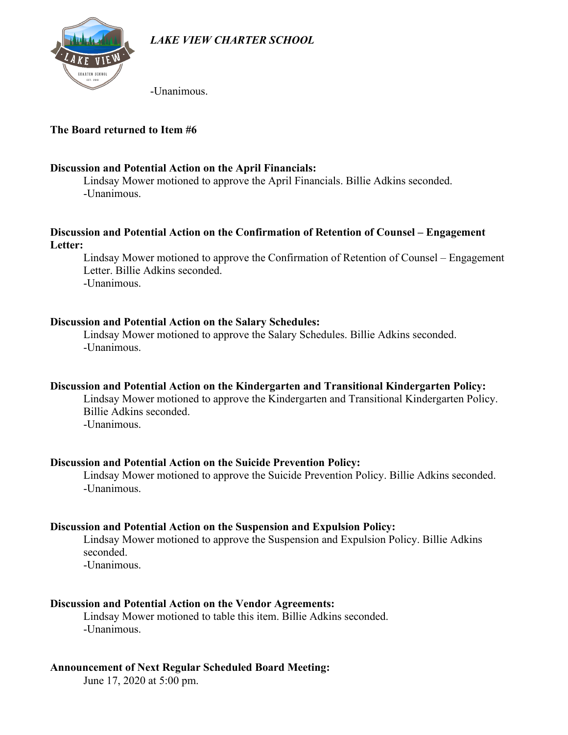### *LAKE VIEW CHARTER SCHOOL*



-Unanimous.

#### **The Board returned to Item #6**

#### **Discussion and Potential Action on the April Financials:**

Lindsay Mower motioned to approve the April Financials. Billie Adkins seconded. -Unanimous.

#### **Discussion and Potential Action on the Confirmation of Retention of Counsel – Engagement Letter:**

Lindsay Mower motioned to approve the Confirmation of Retention of Counsel – Engagement Letter. Billie Adkins seconded. -Unanimous.

#### **Discussion and Potential Action on the Salary Schedules:**

Lindsay Mower motioned to approve the Salary Schedules. Billie Adkins seconded. -Unanimous.

#### **Discussion and Potential Action on the Kindergarten and Transitional Kindergarten Policy:**

Lindsay Mower motioned to approve the Kindergarten and Transitional Kindergarten Policy. Billie Adkins seconded. -Unanimous.

#### **Discussion and Potential Action on the Suicide Prevention Policy:**

Lindsay Mower motioned to approve the Suicide Prevention Policy. Billie Adkins seconded. -Unanimous.

#### **Discussion and Potential Action on the Suspension and Expulsion Policy:**

Lindsay Mower motioned to approve the Suspension and Expulsion Policy. Billie Adkins seconded.

-Unanimous.

#### **Discussion and Potential Action on the Vendor Agreements:**

Lindsay Mower motioned to table this item. Billie Adkins seconded. -Unanimous.

#### **Announcement of Next Regular Scheduled Board Meeting:**

June 17, 2020 at 5:00 pm.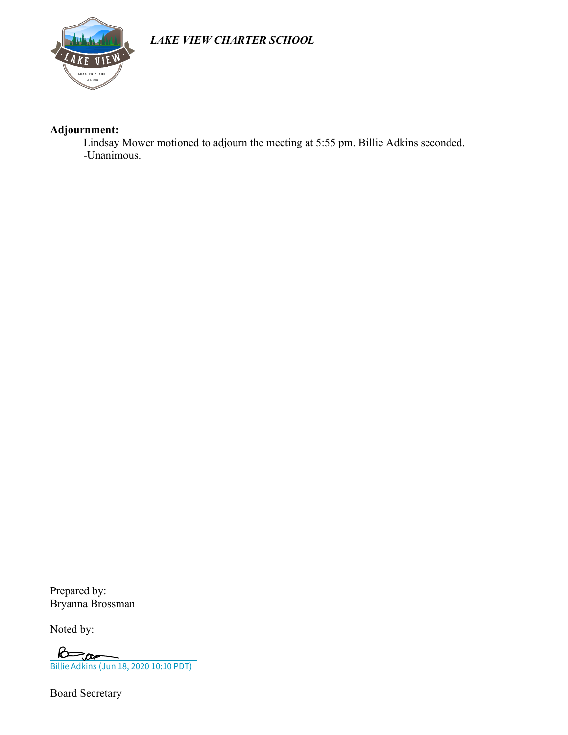

*LAKE VIEW CHARTER SCHOOL*

## **Adjournment:**

Lindsay Mower motioned to adjourn the meeting at 5:55 pm. Billie Adkins seconded. -Unanimous.

Prepared by: Bryanna Brossman

Noted by:

 $k_{\rm max}$  $\sim$   $\sim$   $\sim$   $\sim$   $\sim$ [Billie Adkins \(Jun 18, 2020 10:10 PDT\)](https://na2.documents.adobe.com/verifier?tx=CBJCHBCAABAACSUTAfqNGFk-Zj-BVvF0VjrjJ8CfNqi-)

Board Secretary